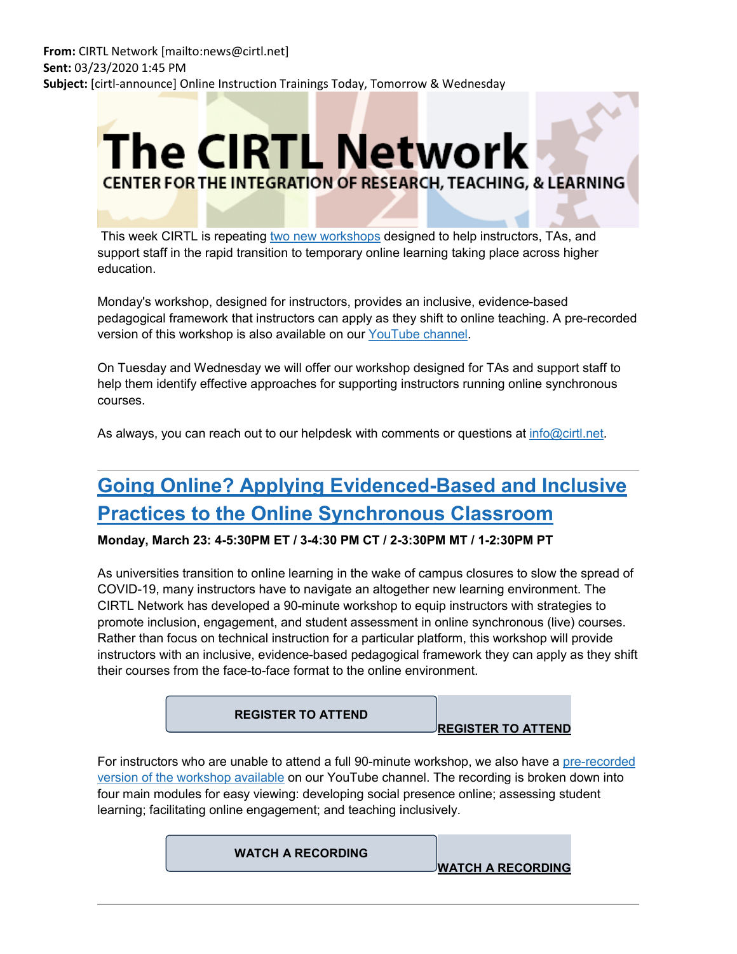# **The CIRTL Network CENTER FOR THE INTEGRATION OF RESEARCH, TEACHING, & LEARNING**

This week CIRTL is repeating [two new workshops](https://nam05.safelinks.protection.outlook.com/?url=https%3A%2F%2Flists.wisc.edu%2Ft%2F58362681%2F84804386%2F4161187%2F2007%2F&data=02%7C01%7Cjoeg%40pitt.edu%7Cd801d93ba20f41d7423808d7cf566590%7C9ef9f489e0a04eeb87cc3a526112fd0d%7C1%7C0%7C637205842309452572&sdata=hCDJPZFms3xVXzmw14MkpgRo%2B%2BCt1z2QghTk6vTQIPc%3D&reserved=0) designed to help instructors, TAs, and support staff in the rapid transition to temporary online learning taking place across higher education.

Monday's workshop, designed for instructors, provides an inclusive, evidence-based pedagogical framework that instructors can apply as they shift to online teaching. A pre-recorded version of this workshop is also available on our [YouTube channel.](https://nam05.safelinks.protection.outlook.com/?url=https%3A%2F%2Flists.wisc.edu%2Ft%2F58362681%2F84804386%2F4161188%2F2008%2F&data=02%7C01%7Cjoeg%40pitt.edu%7Cd801d93ba20f41d7423808d7cf566590%7C9ef9f489e0a04eeb87cc3a526112fd0d%7C1%7C0%7C637205842309462576&sdata=2w%2BPe5kx%2BwVOvrhLujXF%2BVekcpEHAqQZPtBZFEw3l28%3D&reserved=0)

On Tuesday and Wednesday we will offer our workshop designed for TAs and support staff to help them identify effective approaches for supporting instructors running online synchronous courses.

As always, you can reach out to our helpdesk with comments or questions at [info@cirtl.net.](mailto:info@cirtl.net)

### **[Going Online? Applying Evidenced-Based and Inclusive](https://nam05.safelinks.protection.outlook.com/?url=https%3A%2F%2Flists.wisc.edu%2Ft%2F58362681%2F84804386%2F4161189%2F2009%2F&data=02%7C01%7Cjoeg%40pitt.edu%7Cd801d93ba20f41d7423808d7cf566590%7C9ef9f489e0a04eeb87cc3a526112fd0d%7C1%7C0%7C637205842309462576&sdata=WXuGYZB5gp%2BJ5ZPTwI2AodT2zBbriOJmfS4mk912asI%3D&reserved=0)  [Practices to the Online Synchronous Classroom](https://nam05.safelinks.protection.outlook.com/?url=https%3A%2F%2Flists.wisc.edu%2Ft%2F58362681%2F84804386%2F4161189%2F2009%2F&data=02%7C01%7Cjoeg%40pitt.edu%7Cd801d93ba20f41d7423808d7cf566590%7C9ef9f489e0a04eeb87cc3a526112fd0d%7C1%7C0%7C637205842309462576&sdata=WXuGYZB5gp%2BJ5ZPTwI2AodT2zBbriOJmfS4mk912asI%3D&reserved=0)**

**Monday, March 23: 4-5:30PM ET / 3-4:30 PM CT / 2-3:30PM MT / 1-2:30PM PT**

As universities transition to online learning in the wake of campus closures to slow the spread of COVID-19, many instructors have to navigate an altogether new learning environment. The CIRTL Network has developed a 90-minute workshop to equip instructors with strategies to promote inclusion, engagement, and student assessment in online synchronous (live) courses. Rather than focus on technical instruction for a particular platform, this workshop will provide instructors with an inclusive, evidence-based pedagogical framework they can apply as they shift their courses from the face-to-face format to the online environment.



For instructors who are unable to attend a full 90-minute workshop, we also have a pre-recorded [version of the workshop available](https://nam05.safelinks.protection.outlook.com/?url=https%3A%2F%2Flists.wisc.edu%2Ft%2F58362681%2F84804386%2F4161188%2F3010%2F&data=02%7C01%7Cjoeg%40pitt.edu%7Cd801d93ba20f41d7423808d7cf566590%7C9ef9f489e0a04eeb87cc3a526112fd0d%7C1%7C0%7C637205842309482552&sdata=o5PyxtYuEIwUDELb1fVWXQpChCGuLfZCoBHAlxAUIvY%3D&reserved=0) on our YouTube channel. The recording is broken down into four main modules for easy viewing: developing social presence online; assessing student learning; facilitating online engagement; and teaching inclusively.